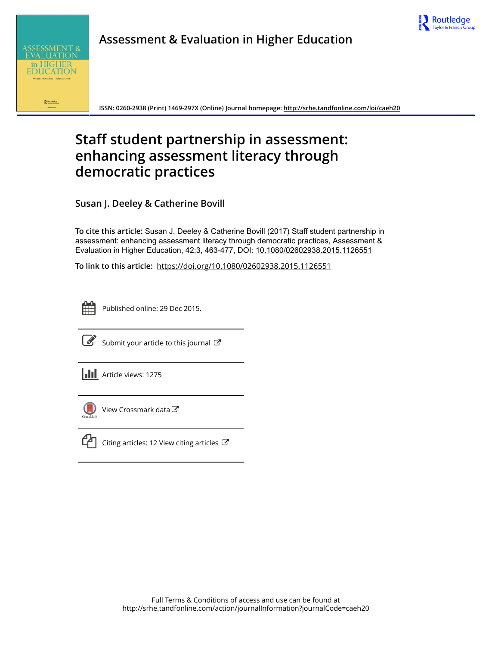

# **EDUCATION** R Routledge

**Assessment & Evaluation in Higher Education**

**ISSN: 0260-2938 (Print) 1469-297X (Online) Journal homepage: <http://srhe.tandfonline.com/loi/caeh20>**

# **Staff student partnership in assessment: enhancing assessment literacy through democratic practices**

**Susan J. Deeley & Catherine Bovill**

**To cite this article:** Susan J. Deeley & Catherine Bovill (2017) Staff student partnership in assessment: enhancing assessment literacy through democratic practices, Assessment & Evaluation in Higher Education, 42:3, 463-477, DOI: [10.1080/02602938.2015.1126551](http://srhe.tandfonline.com/action/showCitFormats?doi=10.1080/02602938.2015.1126551)

**To link to this article:** <https://doi.org/10.1080/02602938.2015.1126551>



Published online: 29 Dec 2015.



 $\overrightarrow{S}$  [Submit your article to this journal](http://srhe.tandfonline.com/action/authorSubmission?journalCode=caeh20&show=instructions)  $\overrightarrow{S}$ 





 $\bigcirc$  [View Crossmark data](http://crossmark.crossref.org/dialog/?doi=10.1080/02602938.2015.1126551&domain=pdf&date_stamp=2015-12-29) $\mathbb{Z}$ 



 $\mathbb{C}$  [Citing articles: 12 View citing articles](http://srhe.tandfonline.com/doi/citedby/10.1080/02602938.2015.1126551#tabModule)  $\mathbb{C}$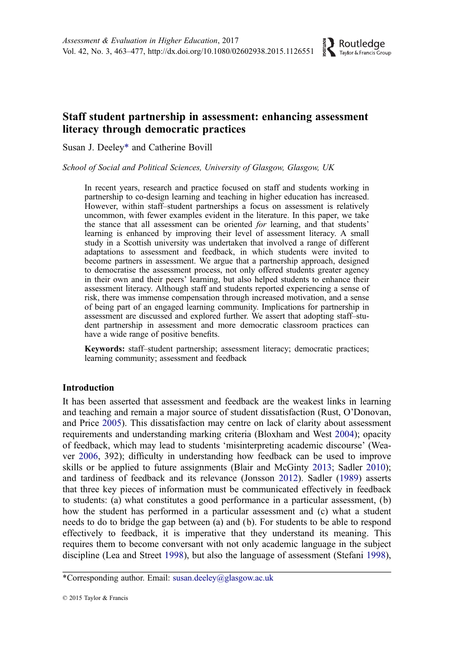# Staff student partnership in assessment: enhancing assessment literacy through democratic practices

Susan J. Deeley\* and Catherine Bovill

School of Social and Political Sciences, University of Glasgow, Glasgow, UK

In recent years, research and practice focused on staff and students working in partnership to co-design learning and teaching in higher education has increased. However, within staff–student partnerships a focus on assessment is relatively uncommon, with fewer examples evident in the literature. In this paper, we take the stance that all assessment can be oriented for learning, and that students' learning is enhanced by improving their level of assessment literacy. A small study in a Scottish university was undertaken that involved a range of different adaptations to assessment and feedback, in which students were invited to become partners in assessment. We argue that a partnership approach, designed to democratise the assessment process, not only offered students greater agency in their own and their peers' learning, but also helped students to enhance their assessment literacy. Although staff and students reported experiencing a sense of risk, there was immense compensation through increased motivation, and a sense of being part of an engaged learning community. Implications for partnership in assessment are discussed and explored further. We assert that adopting staff–student partnership in assessment and more democratic classroom practices can have a wide range of positive benefits.

Keywords: staff–student partnership; assessment literacy; democratic practices; learning community; assessment and feedback

#### Introduction

It has been asserted that assessment and feedback are the weakest links in learning and teaching and remain a major source of student dissatisfaction (Rust, O'Donovan, and Price [2005](#page-14-0)). This dissatisfaction may centre on lack of clarity about assessment requirements and understanding marking criteria (Bloxham and West [2004](#page-13-0)); opacity of feedback, which may lead to students 'misinterpreting academic discourse' (Weaver [2006,](#page-15-0) 392); difficulty in understanding how feedback can be used to improve skills or be applied to future assignments (Blair and McGinty [2013;](#page-13-0) Sadler [2010\)](#page-14-0); and tardiness of feedback and its relevance (Jonsson [2012\)](#page-14-0). Sadler ([1989\)](#page-14-0) asserts that three key pieces of information must be communicated effectively in feedback to students: (a) what constitutes a good performance in a particular assessment, (b) how the student has performed in a particular assessment and (c) what a student needs to do to bridge the gap between (a) and (b). For students to be able to respond effectively to feedback, it is imperative that they understand its meaning. This requires them to become conversant with not only academic language in the subject discipline (Lea and Street [1998\)](#page-14-0), but also the language of assessment (Stefani [1998](#page-15-0)),

<sup>\*</sup>Corresponding author. Email: [susan.deeley@glasgow.ac.uk](mailto:susan.deeley@glasgow.ac.uk)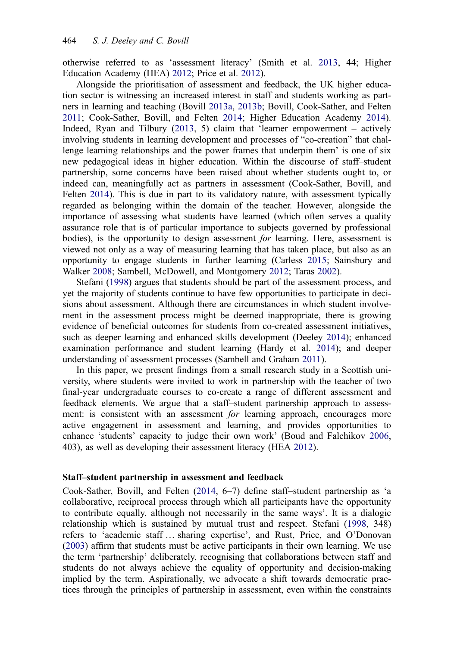otherwise referred to as 'assessment literacy' (Smith et al. [2013](#page-15-0), 44; Higher Education Academy (HEA) [2012](#page-14-0); Price et al. [2012](#page-14-0)).

Alongside the prioritisation of assessment and feedback, the UK higher education sector is witnessing an increased interest in staff and students working as partners in learning and teaching (Bovill [2013a,](#page-13-0) [2013b;](#page-13-0) Bovill, Cook-Sather, and Felten [2011;](#page-13-0) Cook-Sather, Bovill, and Felten [2014](#page-13-0); Higher Education Academy [2014](#page-14-0)). Indeed, Ryan and Tilbury [\(2013,](#page-14-0) 5) claim that 'learner empowerment – actively involving students in learning development and processes of "co-creation" that challenge learning relationships and the power frames that underpin them' is one of six new pedagogical ideas in higher education. Within the discourse of staff–student partnership, some concerns have been raised about whether students ought to, or indeed can, meaningfully act as partners in assessment (Cook-Sather, Bovill, and Felten [2014\)](#page-13-0). This is due in part to its validatory nature, with assessment typically regarded as belonging within the domain of the teacher. However, alongside the importance of assessing what students have learned (which often serves a quality assurance role that is of particular importance to subjects governed by professional bodies), is the opportunity to design assessment *for* learning. Here, assessment is viewed not only as a way of measuring learning that has taken place, but also as an opportunity to engage students in further learning (Carless [2015](#page-13-0); Sainsbury and Walker [2008;](#page-14-0) Sambell, McDowell, and Montgomery [2012;](#page-15-0) Taras [2002\)](#page-15-0).

Stefani ([1998\)](#page-15-0) argues that students should be part of the assessment process, and yet the majority of students continue to have few opportunities to participate in decisions about assessment. Although there are circumstances in which student involvement in the assessment process might be deemed inappropriate, there is growing evidence of beneficial outcomes for students from co-created assessment initiatives, such as deeper learning and enhanced skills development (Deeley [2014\)](#page-13-0); enhanced examination performance and student learning (Hardy et al. [2014\)](#page-14-0); and deeper understanding of assessment processes (Sambell and Graham [2011](#page-14-0)).

In this paper, we present findings from a small research study in a Scottish university, where students were invited to work in partnership with the teacher of two final-year undergraduate courses to co-create a range of different assessment and feedback elements. We argue that a staff–student partnership approach to assessment: is consistent with an assessment *for* learning approach, encourages more active engagement in assessment and learning, and provides opportunities to enhance 'students' capacity to judge their own work' (Boud and Falchikov [2006,](#page-13-0) 403), as well as developing their assessment literacy (HEA [2012](#page-14-0)).

#### Staff–student partnership in assessment and feedback

Cook-Sather, Bovill, and Felten ([2014,](#page-13-0) 6–7) define staff–student partnership as 'a collaborative, reciprocal process through which all participants have the opportunity to contribute equally, although not necessarily in the same ways'. It is a dialogic relationship which is sustained by mutual trust and respect. Stefani [\(1998](#page-15-0), 348) refers to 'academic staff … sharing expertise', and Rust, Price, and O'Donovan [\(2003](#page-14-0)) affirm that students must be active participants in their own learning. We use the term 'partnership' deliberately, recognising that collaborations between staff and students do not always achieve the equality of opportunity and decision-making implied by the term. Aspirationally, we advocate a shift towards democratic practices through the principles of partnership in assessment, even within the constraints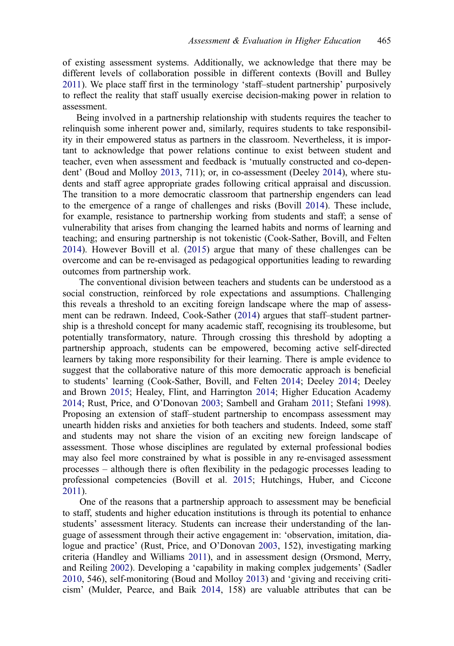of existing assessment systems. Additionally, we acknowledge that there may be different levels of collaboration possible in different contexts (Bovill and Bulley [2011\)](#page-13-0). We place staff first in the terminology 'staff–student partnership' purposively to reflect the reality that staff usually exercise decision-making power in relation to assessment.

Being involved in a partnership relationship with students requires the teacher to relinquish some inherent power and, similarly, requires students to take responsibility in their empowered status as partners in the classroom. Nevertheless, it is important to acknowledge that power relations continue to exist between student and teacher, even when assessment and feedback is 'mutually constructed and co-dependent' (Boud and Molloy [2013](#page-13-0), 711); or, in co-assessment (Deeley [2014\)](#page-13-0), where students and staff agree appropriate grades following critical appraisal and discussion. The transition to a more democratic classroom that partnership engenders can lead to the emergence of a range of challenges and risks (Bovill [2014\)](#page-13-0). These include, for example, resistance to partnership working from students and staff; a sense of vulnerability that arises from changing the learned habits and norms of learning and teaching; and ensuring partnership is not tokenistic (Cook-Sather, Bovill, and Felten [2014\)](#page-13-0). However Bovill et al. ([2015](#page-13-0)) argue that many of these challenges can be overcome and can be re-envisaged as pedagogical opportunities leading to rewarding outcomes from partnership work.

The conventional division between teachers and students can be understood as a social construction, reinforced by role expectations and assumptions. Challenging this reveals a threshold to an exciting foreign landscape where the map of assessment can be redrawn. Indeed, Cook-Sather [\(2014\)](#page-13-0) argues that staff–student partnership is a threshold concept for many academic staff, recognising its troublesome, but potentially transformatory, nature. Through crossing this threshold by adopting a partnership approach, students can be empowered, becoming active self-directed learners by taking more responsibility for their learning. There is ample evidence to suggest that the collaborative nature of this more democratic approach is beneficial to students' learning (Cook-Sather, Bovill, and Felten [2014;](#page-13-0) Deeley [2014;](#page-13-0) Deeley and Brown [2015;](#page-14-0) Healey, Flint, and Harrington [2014](#page-14-0); Higher Education Academy [2014;](#page-14-0) Rust, Price, and O'Donovan [2003;](#page-14-0) Sambell and Graham [2011](#page-14-0); Stefani [1998](#page-15-0)). Proposing an extension of staff–student partnership to encompass assessment may unearth hidden risks and anxieties for both teachers and students. Indeed, some staff and students may not share the vision of an exciting new foreign landscape of assessment. Those whose disciplines are regulated by external professional bodies may also feel more constrained by what is possible in any re-envisaged assessment processes – although there is often flexibility in the pedagogic processes leading to professional competencies (Bovill et al. [2015](#page-13-0); Hutchings, Huber, and Ciccone [2011\)](#page-14-0).

One of the reasons that a partnership approach to assessment may be beneficial to staff, students and higher education institutions is through its potential to enhance students' assessment literacy. Students can increase their understanding of the language of assessment through their active engagement in: 'observation, imitation, dialogue and practice' (Rust, Price, and O'Donovan [2003,](#page-14-0) 152), investigating marking criteria (Handley and Williams [2011](#page-14-0)), and in assessment design (Orsmond, Merry, and Reiling [2002\)](#page-14-0). Developing a 'capability in making complex judgements' (Sadler [2010,](#page-14-0) 546), self-monitoring (Boud and Molloy [2013](#page-13-0)) and 'giving and receiving criticism' (Mulder, Pearce, and Baik [2014,](#page-14-0) 158) are valuable attributes that can be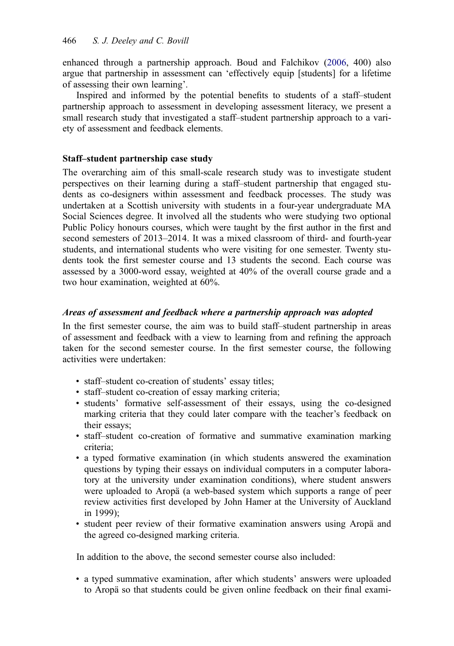enhanced through a partnership approach. Boud and Falchikov ([2006](#page-13-0), 400) also argue that partnership in assessment can 'effectively equip [students] for a lifetime of assessing their own learning'.

Inspired and informed by the potential benefits to students of a staff–student partnership approach to assessment in developing assessment literacy, we present a small research study that investigated a staff–student partnership approach to a variety of assessment and feedback elements.

# Staff–student partnership case study

The overarching aim of this small-scale research study was to investigate student perspectives on their learning during a staff–student partnership that engaged students as co-designers within assessment and feedback processes. The study was undertaken at a Scottish university with students in a four-year undergraduate MA Social Sciences degree. It involved all the students who were studying two optional Public Policy honours courses, which were taught by the first author in the first and second semesters of 2013–2014. It was a mixed classroom of third- and fourth-year students, and international students who were visiting for one semester. Twenty students took the first semester course and 13 students the second. Each course was assessed by a 3000-word essay, weighted at 40% of the overall course grade and a two hour examination, weighted at 60%.

# Areas of assessment and feedback where a partnership approach was adopted

In the first semester course, the aim was to build staff–student partnership in areas of assessment and feedback with a view to learning from and refining the approach taken for the second semester course. In the first semester course, the following activities were undertaken:

- staff–student co-creation of students' essay titles;
- staff–student co-creation of essay marking criteria;
- students' formative self-assessment of their essays, using the co-designed marking criteria that they could later compare with the teacher's feedback on their essays;
- staff–student co-creation of formative and summative examination marking criteria;
- a typed formative examination (in which students answered the examination questions by typing their essays on individual computers in a computer laboratory at the university under examination conditions), where student answers were uploaded to Aropä (a web-based system which supports a range of peer review activities first developed by John Hamer at the University of Auckland in 1999);
- student peer review of their formative examination answers using Aropä and the agreed co-designed marking criteria.

In addition to the above, the second semester course also included:

• a typed summative examination, after which students' answers were uploaded to Aropä so that students could be given online feedback on their final exami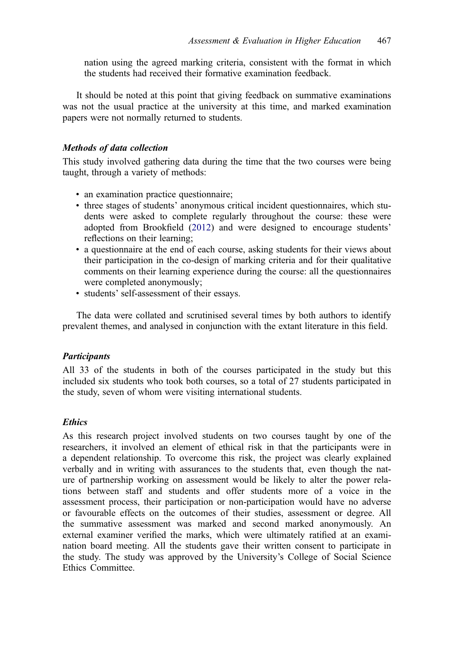nation using the agreed marking criteria, consistent with the format in which the students had received their formative examination feedback.

It should be noted at this point that giving feedback on summative examinations was not the usual practice at the university at this time, and marked examination papers were not normally returned to students.

# Methods of data collection

This study involved gathering data during the time that the two courses were being taught, through a variety of methods:

- an examination practice questionnaire;
- three stages of students' anonymous critical incident questionnaires, which students were asked to complete regularly throughout the course: these were adopted from Brookfield ([2012](#page-13-0)) and were designed to encourage students' reflections on their learning;
- a questionnaire at the end of each course, asking students for their views about their participation in the co-design of marking criteria and for their qualitative comments on their learning experience during the course: all the questionnaires were completed anonymously;
- students' self-assessment of their essays.

The data were collated and scrutinised several times by both authors to identify prevalent themes, and analysed in conjunction with the extant literature in this field.

# **Participants**

All 33 of the students in both of the courses participated in the study but this included six students who took both courses, so a total of 27 students participated in the study, seven of whom were visiting international students.

# **Ethics**

As this research project involved students on two courses taught by one of the researchers, it involved an element of ethical risk in that the participants were in a dependent relationship. To overcome this risk, the project was clearly explained verbally and in writing with assurances to the students that, even though the nature of partnership working on assessment would be likely to alter the power relations between staff and students and offer students more of a voice in the assessment process, their participation or non-participation would have no adverse or favourable effects on the outcomes of their studies, assessment or degree. All the summative assessment was marked and second marked anonymously. An external examiner verified the marks, which were ultimately ratified at an examination board meeting. All the students gave their written consent to participate in the study. The study was approved by the University's College of Social Science Ethics Committee.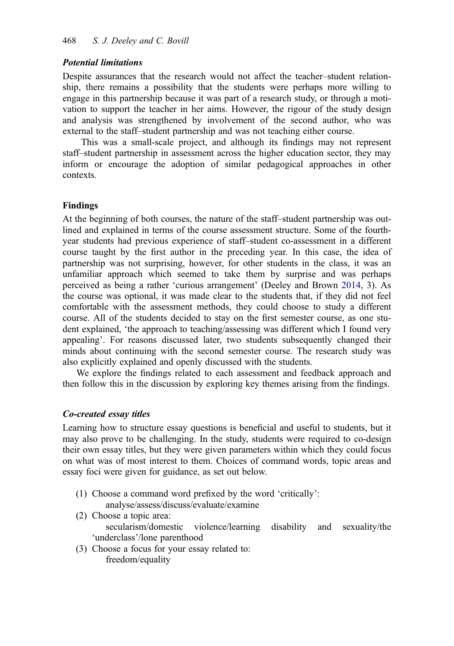#### Potential limitations

Despite assurances that the research would not affect the teacher–student relationship, there remains a possibility that the students were perhaps more willing to engage in this partnership because it was part of a research study, or through a motivation to support the teacher in her aims. However, the rigour of the study design and analysis was strengthened by involvement of the second author, who was external to the staff–student partnership and was not teaching either course.

This was a small-scale project, and although its findings may not represent staff–student partnership in assessment across the higher education sector, they may inform or encourage the adoption of similar pedagogical approaches in other contexts.

#### Findings

At the beginning of both courses, the nature of the staff–student partnership was outlined and explained in terms of the course assessment structure. Some of the fourthyear students had previous experience of staff–student co-assessment in a different course taught by the first author in the preceding year. In this case, the idea of partnership was not surprising, however, for other students in the class, it was an unfamiliar approach which seemed to take them by surprise and was perhaps perceived as being a rather 'curious arrangement' (Deeley and Brown [2014](#page-14-0), 3). As the course was optional, it was made clear to the students that, if they did not feel comfortable with the assessment methods, they could choose to study a different course. All of the students decided to stay on the first semester course, as one student explained, 'the approach to teaching/assessing was different which I found very appealing'. For reasons discussed later, two students subsequently changed their minds about continuing with the second semester course. The research study was also explicitly explained and openly discussed with the students.

We explore the findings related to each assessment and feedback approach and then follow this in the discussion by exploring key themes arising from the findings.

#### Co-created essay titles

Learning how to structure essay questions is beneficial and useful to students, but it may also prove to be challenging. In the study, students were required to co-design their own essay titles, but they were given parameters within which they could focus on what was of most interest to them. Choices of command words, topic areas and essay foci were given for guidance, as set out below.

- (1) Choose a command word prefixed by the word 'critically': analyse/assess/discuss/evaluate/examine
- (2) Choose a topic area: secularism/domestic violence/learning disability and sexuality/the 'underclass'/lone parenthood
- (3) Choose a focus for your essay related to: freedom/equality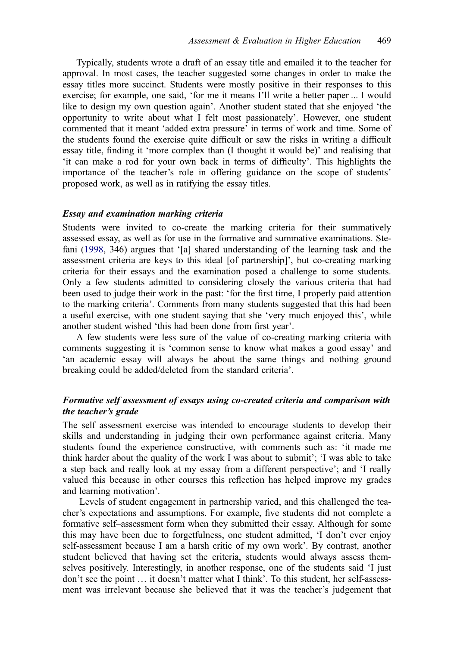Typically, students wrote a draft of an essay title and emailed it to the teacher for approval. In most cases, the teacher suggested some changes in order to make the essay titles more succinct. Students were mostly positive in their responses to this exercise; for example, one said, 'for me it means I'll write a better paper ... I would like to design my own question again'. Another student stated that she enjoyed 'the opportunity to write about what I felt most passionately'. However, one student commented that it meant 'added extra pressure' in terms of work and time. Some of the students found the exercise quite difficult or saw the risks in writing a difficult essay title, finding it 'more complex than (I thought it would be)' and realising that 'it can make a rod for your own back in terms of difficulty'. This highlights the importance of the teacher's role in offering guidance on the scope of students' proposed work, as well as in ratifying the essay titles.

#### Essay and examination marking criteria

Students were invited to co-create the marking criteria for their summatively assessed essay, as well as for use in the formative and summative examinations. Stefani ([1998](#page-15-0), 346) argues that '[a] shared understanding of the learning task and the assessment criteria are keys to this ideal [of partnership]', but co-creating marking criteria for their essays and the examination posed a challenge to some students. Only a few students admitted to considering closely the various criteria that had been used to judge their work in the past: 'for the first time, I properly paid attention to the marking criteria'. Comments from many students suggested that this had been a useful exercise, with one student saying that she 'very much enjoyed this', while another student wished 'this had been done from first year'.

A few students were less sure of the value of co-creating marking criteria with comments suggesting it is 'common sense to know what makes a good essay' and 'an academic essay will always be about the same things and nothing ground breaking could be added/deleted from the standard criteria'.

# Formative self assessment of essays using co-created criteria and comparison with the teacher's grade

The self assessment exercise was intended to encourage students to develop their skills and understanding in judging their own performance against criteria. Many students found the experience constructive, with comments such as: 'it made me think harder about the quality of the work I was about to submit'; 'I was able to take a step back and really look at my essay from a different perspective'; and 'I really valued this because in other courses this reflection has helped improve my grades and learning motivation'.

Levels of student engagement in partnership varied, and this challenged the teacher's expectations and assumptions. For example, five students did not complete a formative self–assessment form when they submitted their essay. Although for some this may have been due to forgetfulness, one student admitted, 'I don't ever enjoy self-assessment because I am a harsh critic of my own work'. By contrast, another student believed that having set the criteria, students would always assess themselves positively. Interestingly, in another response, one of the students said 'I just don't see the point … it doesn't matter what I think'. To this student, her self-assessment was irrelevant because she believed that it was the teacher's judgement that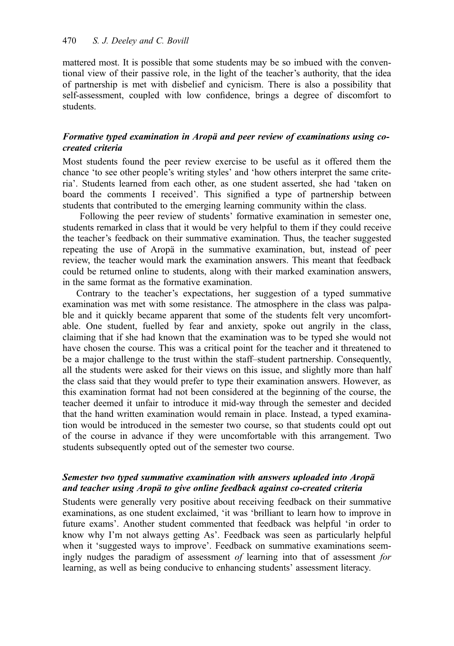mattered most. It is possible that some students may be so imbued with the conventional view of their passive role, in the light of the teacher's authority, that the idea of partnership is met with disbelief and cynicism. There is also a possibility that self-assessment, coupled with low confidence, brings a degree of discomfort to students.

# Formative typed examination in Aropä and peer review of examinations using cocreated criteria

Most students found the peer review exercise to be useful as it offered them the chance 'to see other people's writing styles' and 'how others interpret the same criteria'. Students learned from each other, as one student asserted, she had 'taken on board the comments I received'. This signified a type of partnership between students that contributed to the emerging learning community within the class.

Following the peer review of students' formative examination in semester one, students remarked in class that it would be very helpful to them if they could receive the teacher's feedback on their summative examination. Thus, the teacher suggested repeating the use of Aropä in the summative examination, but, instead of peer review, the teacher would mark the examination answers. This meant that feedback could be returned online to students, along with their marked examination answers, in the same format as the formative examination.

Contrary to the teacher's expectations, her suggestion of a typed summative examination was met with some resistance. The atmosphere in the class was palpable and it quickly became apparent that some of the students felt very uncomfortable. One student, fuelled by fear and anxiety, spoke out angrily in the class, claiming that if she had known that the examination was to be typed she would not have chosen the course. This was a critical point for the teacher and it threatened to be a major challenge to the trust within the staff–student partnership. Consequently, all the students were asked for their views on this issue, and slightly more than half the class said that they would prefer to type their examination answers. However, as this examination format had not been considered at the beginning of the course, the teacher deemed it unfair to introduce it mid-way through the semester and decided that the hand written examination would remain in place. Instead, a typed examination would be introduced in the semester two course, so that students could opt out of the course in advance if they were uncomfortable with this arrangement. Two students subsequently opted out of the semester two course.

# Semester two typed summative examination with answers uploaded into Aropä and teacher using Aropä to give online feedback against co-created criteria

Students were generally very positive about receiving feedback on their summative examinations, as one student exclaimed, 'it was 'brilliant to learn how to improve in future exams'. Another student commented that feedback was helpful 'in order to know why I'm not always getting As'. Feedback was seen as particularly helpful when it 'suggested ways to improve'. Feedback on summative examinations seemingly nudges the paradigm of assessment of learning into that of assessment for learning, as well as being conducive to enhancing students' assessment literacy.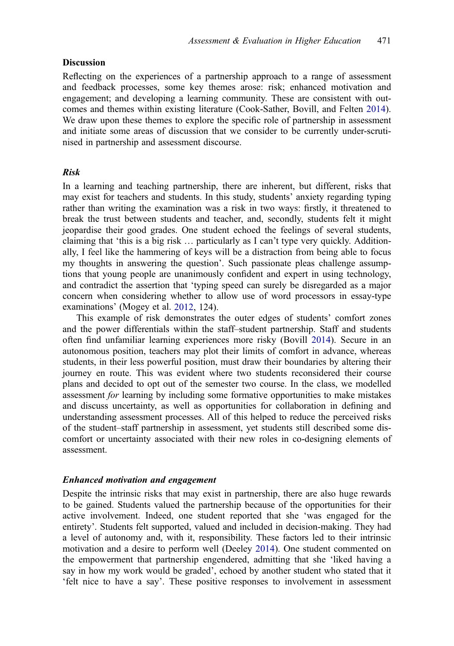# **Discussion**

Reflecting on the experiences of a partnership approach to a range of assessment and feedback processes, some key themes arose: risk; enhanced motivation and engagement; and developing a learning community. These are consistent with outcomes and themes within existing literature (Cook-Sather, Bovill, and Felten [2014](#page-13-0)). We draw upon these themes to explore the specific role of partnership in assessment and initiate some areas of discussion that we consider to be currently under-scrutinised in partnership and assessment discourse.

#### Risk

In a learning and teaching partnership, there are inherent, but different, risks that may exist for teachers and students. In this study, students' anxiety regarding typing rather than writing the examination was a risk in two ways: firstly, it threatened to break the trust between students and teacher, and, secondly, students felt it might jeopardise their good grades. One student echoed the feelings of several students, claiming that 'this is a big risk … particularly as I can't type very quickly. Additionally, I feel like the hammering of keys will be a distraction from being able to focus my thoughts in answering the question'. Such passionate pleas challenge assumptions that young people are unanimously confident and expert in using technology, and contradict the assertion that 'typing speed can surely be disregarded as a major concern when considering whether to allow use of word processors in essay-type examinations' (Mogey et al. [2012](#page-14-0), 124).

This example of risk demonstrates the outer edges of students' comfort zones and the power differentials within the staff–student partnership. Staff and students often find unfamiliar learning experiences more risky (Bovill [2014\)](#page-13-0). Secure in an autonomous position, teachers may plot their limits of comfort in advance, whereas students, in their less powerful position, must draw their boundaries by altering their journey en route. This was evident where two students reconsidered their course plans and decided to opt out of the semester two course. In the class, we modelled assessment for learning by including some formative opportunities to make mistakes and discuss uncertainty, as well as opportunities for collaboration in defining and understanding assessment processes. All of this helped to reduce the perceived risks of the student–staff partnership in assessment, yet students still described some discomfort or uncertainty associated with their new roles in co-designing elements of assessment.

#### Enhanced motivation and engagement

Despite the intrinsic risks that may exist in partnership, there are also huge rewards to be gained. Students valued the partnership because of the opportunities for their active involvement. Indeed, one student reported that she 'was engaged for the entirety'. Students felt supported, valued and included in decision-making. They had a level of autonomy and, with it, responsibility. These factors led to their intrinsic motivation and a desire to perform well (Deeley [2014\)](#page-13-0). One student commented on the empowerment that partnership engendered, admitting that she 'liked having a say in how my work would be graded', echoed by another student who stated that it 'felt nice to have a say'. These positive responses to involvement in assessment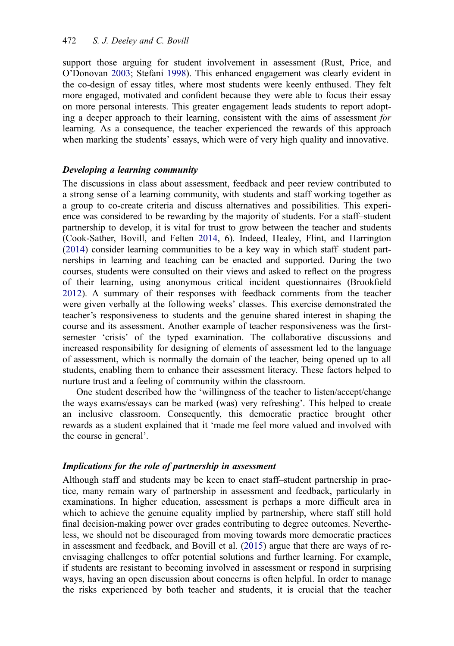support those arguing for student involvement in assessment (Rust, Price, and O'Donovan [2003;](#page-14-0) Stefani [1998](#page-15-0)). This enhanced engagement was clearly evident in the co-design of essay titles, where most students were keenly enthused. They felt more engaged, motivated and confident because they were able to focus their essay on more personal interests. This greater engagement leads students to report adopting a deeper approach to their learning, consistent with the aims of assessment for learning. As a consequence, the teacher experienced the rewards of this approach when marking the students' essays, which were of very high quality and innovative.

#### Developing a learning community

The discussions in class about assessment, feedback and peer review contributed to a strong sense of a learning community, with students and staff working together as a group to co-create criteria and discuss alternatives and possibilities. This experience was considered to be rewarding by the majority of students. For a staff–student partnership to develop, it is vital for trust to grow between the teacher and students (Cook-Sather, Bovill, and Felten [2014,](#page-13-0) 6). Indeed, Healey, Flint, and Harrington [\(2014](#page-14-0)) consider learning communities to be a key way in which staff–student partnerships in learning and teaching can be enacted and supported. During the two courses, students were consulted on their views and asked to reflect on the progress of their learning, using anonymous critical incident questionnaires (Brookfield [2012\)](#page-13-0). A summary of their responses with feedback comments from the teacher were given verbally at the following weeks' classes. This exercise demonstrated the teacher's responsiveness to students and the genuine shared interest in shaping the course and its assessment. Another example of teacher responsiveness was the firstsemester 'crisis' of the typed examination. The collaborative discussions and increased responsibility for designing of elements of assessment led to the language of assessment, which is normally the domain of the teacher, being opened up to all students, enabling them to enhance their assessment literacy. These factors helped to nurture trust and a feeling of community within the classroom.

One student described how the 'willingness of the teacher to listen/accept/change the ways exams/essays can be marked (was) very refreshing'. This helped to create an inclusive classroom. Consequently, this democratic practice brought other rewards as a student explained that it 'made me feel more valued and involved with the course in general'.

#### Implications for the role of partnership in assessment

Although staff and students may be keen to enact staff–student partnership in practice, many remain wary of partnership in assessment and feedback, particularly in examinations. In higher education, assessment is perhaps a more difficult area in which to achieve the genuine equality implied by partnership, where staff still hold final decision-making power over grades contributing to degree outcomes. Nevertheless, we should not be discouraged from moving towards more democratic practices in assessment and feedback, and Bovill et al. [\(2015](#page-13-0)) argue that there are ways of reenvisaging challenges to offer potential solutions and further learning. For example, if students are resistant to becoming involved in assessment or respond in surprising ways, having an open discussion about concerns is often helpful. In order to manage the risks experienced by both teacher and students, it is crucial that the teacher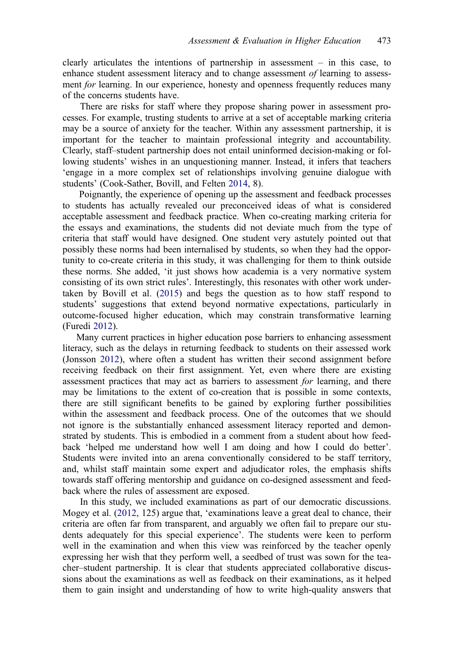clearly articulates the intentions of partnership in assessment  $-$  in this case, to enhance student assessment literacy and to change assessment of learning to assessment *for* learning. In our experience, honesty and openness frequently reduces many of the concerns students have.

There are risks for staff where they propose sharing power in assessment processes. For example, trusting students to arrive at a set of acceptable marking criteria may be a source of anxiety for the teacher. Within any assessment partnership, it is important for the teacher to maintain professional integrity and accountability. Clearly, staff–student partnership does not entail uninformed decision-making or following students' wishes in an unquestioning manner. Instead, it infers that teachers 'engage in a more complex set of relationships involving genuine dialogue with students' (Cook-Sather, Bovill, and Felten [2014](#page-13-0), 8).

Poignantly, the experience of opening up the assessment and feedback processes to students has actually revealed our preconceived ideas of what is considered acceptable assessment and feedback practice. When co-creating marking criteria for the essays and examinations, the students did not deviate much from the type of criteria that staff would have designed. One student very astutely pointed out that possibly these norms had been internalised by students, so when they had the opportunity to co-create criteria in this study, it was challenging for them to think outside these norms. She added, 'it just shows how academia is a very normative system consisting of its own strict rules'. Interestingly, this resonates with other work undertaken by Bovill et al. ([2015](#page-13-0)) and begs the question as to how staff respond to students' suggestions that extend beyond normative expectations, particularly in outcome-focused higher education, which may constrain transformative learning (Furedi [2012](#page-14-0)).

Many current practices in higher education pose barriers to enhancing assessment literacy, such as the delays in returning feedback to students on their assessed work (Jonsson [2012\)](#page-14-0), where often a student has written their second assignment before receiving feedback on their first assignment. Yet, even where there are existing assessment practices that may act as barriers to assessment for learning, and there may be limitations to the extent of co-creation that is possible in some contexts, there are still significant benefits to be gained by exploring further possibilities within the assessment and feedback process. One of the outcomes that we should not ignore is the substantially enhanced assessment literacy reported and demonstrated by students. This is embodied in a comment from a student about how feedback 'helped me understand how well I am doing and how I could do better'. Students were invited into an arena conventionally considered to be staff territory, and, whilst staff maintain some expert and adjudicator roles, the emphasis shifts towards staff offering mentorship and guidance on co-designed assessment and feedback where the rules of assessment are exposed.

In this study, we included examinations as part of our democratic discussions. Mogey et al. [\(2012](#page-14-0), 125) argue that, 'examinations leave a great deal to chance, their criteria are often far from transparent, and arguably we often fail to prepare our students adequately for this special experience'. The students were keen to perform well in the examination and when this view was reinforced by the teacher openly expressing her wish that they perform well, a seedbed of trust was sown for the teacher–student partnership. It is clear that students appreciated collaborative discussions about the examinations as well as feedback on their examinations, as it helped them to gain insight and understanding of how to write high-quality answers that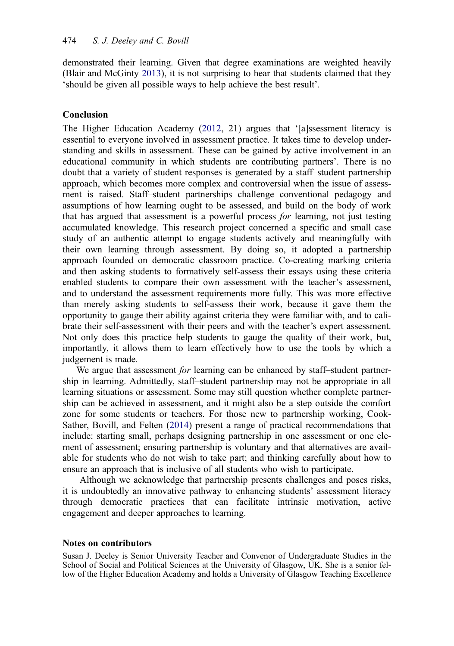demonstrated their learning. Given that degree examinations are weighted heavily (Blair and McGinty [2013](#page-13-0)), it is not surprising to hear that students claimed that they 'should be given all possible ways to help achieve the best result'.

#### Conclusion

The Higher Education Academy ([2012](#page-14-0), 21) argues that '[a]ssessment literacy is essential to everyone involved in assessment practice. It takes time to develop understanding and skills in assessment. These can be gained by active involvement in an educational community in which students are contributing partners'. There is no doubt that a variety of student responses is generated by a staff–student partnership approach, which becomes more complex and controversial when the issue of assessment is raised. Staff–student partnerships challenge conventional pedagogy and assumptions of how learning ought to be assessed, and build on the body of work that has argued that assessment is a powerful process for learning, not just testing accumulated knowledge. This research project concerned a specific and small case study of an authentic attempt to engage students actively and meaningfully with their own learning through assessment. By doing so, it adopted a partnership approach founded on democratic classroom practice. Co-creating marking criteria and then asking students to formatively self-assess their essays using these criteria enabled students to compare their own assessment with the teacher's assessment, and to understand the assessment requirements more fully. This was more effective than merely asking students to self-assess their work, because it gave them the opportunity to gauge their ability against criteria they were familiar with, and to calibrate their self-assessment with their peers and with the teacher's expert assessment. Not only does this practice help students to gauge the quality of their work, but, importantly, it allows them to learn effectively how to use the tools by which a judgement is made.

We argue that assessment for learning can be enhanced by staff-student partnership in learning. Admittedly, staff–student partnership may not be appropriate in all learning situations or assessment. Some may still question whether complete partnership can be achieved in assessment, and it might also be a step outside the comfort zone for some students or teachers. For those new to partnership working, Cook-Sather, Bovill, and Felten [\(2014](#page-13-0)) present a range of practical recommendations that include: starting small, perhaps designing partnership in one assessment or one element of assessment; ensuring partnership is voluntary and that alternatives are available for students who do not wish to take part; and thinking carefully about how to ensure an approach that is inclusive of all students who wish to participate.

Although we acknowledge that partnership presents challenges and poses risks, it is undoubtedly an innovative pathway to enhancing students' assessment literacy through democratic practices that can facilitate intrinsic motivation, active engagement and deeper approaches to learning.

#### Notes on contributors

Susan J. Deeley is Senior University Teacher and Convenor of Undergraduate Studies in the School of Social and Political Sciences at the University of Glasgow, UK. She is a senior fellow of the Higher Education Academy and holds a University of Glasgow Teaching Excellence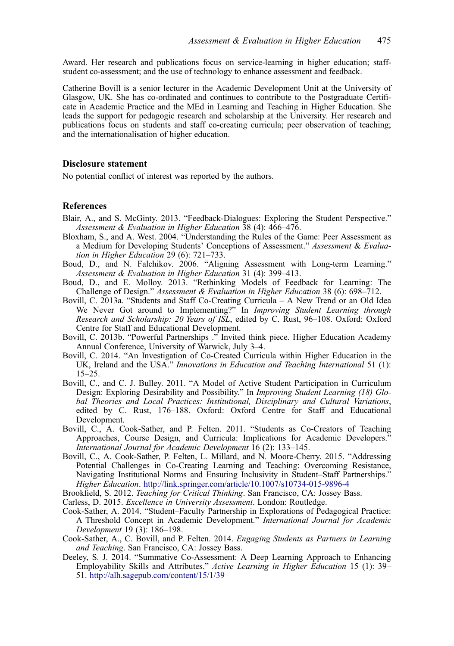<span id="page-13-0"></span>Award. Her research and publications focus on service-learning in higher education; staffstudent co-assessment; and the use of technology to enhance assessment and feedback.

Catherine Bovill is a senior lecturer in the Academic Development Unit at the University of Glasgow, UK. She has co-ordinated and continues to contribute to the Postgraduate Certificate in Academic Practice and the MEd in Learning and Teaching in Higher Education. She leads the support for pedagogic research and scholarship at the University. Her research and publications focus on students and staff co-creating curricula; peer observation of teaching; and the internationalisation of higher education.

#### Disclosure statement

No potential conflict of interest was reported by the authors.

#### References

- Blair, A., and S. McGinty. 2013. "Feedback-Dialogues: Exploring the Student Perspective." Assessment & Evaluation in Higher Education 38 (4): 466–476.
- Bloxham, S., and A. West. 2004. "Understanding the Rules of the Game: Peer Assessment as a Medium for Developing Students' Conceptions of Assessment." Assessment & Evaluation in Higher Education 29 (6): 721–733.
- Boud, D., and N. Falchikov. 2006. "Aligning Assessment with Long-term Learning." Assessment & Evaluation in Higher Education 31 (4): 399–413.
- Boud, D., and E. Molloy. 2013. "Rethinking Models of Feedback for Learning: The Challenge of Design." Assessment & Evaluation in Higher Education 38 (6): 698–712.
- Bovill, C. 2013a. "Students and Staff Co-Creating Curricula A New Trend or an Old Idea We Never Got around to Implementing?" In Improving Student Learning through Research and Scholarship: 20 Years of ISL, edited by C. Rust, 96–108. Oxford: Oxford Centre for Staff and Educational Development.
- Bovill, C. 2013b. "Powerful Partnerships ." Invited think piece. Higher Education Academy Annual Conference, University of Warwick, July 3–4.
- Bovill, C. 2014. "An Investigation of Co-Created Curricula within Higher Education in the UK, Ireland and the USA." Innovations in Education and Teaching International 51 (1): 15–25.
- Bovill, C., and C. J. Bulley. 2011. "A Model of Active Student Participation in Curriculum Design: Exploring Desirability and Possibility." In Improving Student Learning (18) Global Theories and Local Practices: Institutional, Disciplinary and Cultural Variations, edited by C. Rust, 176–188. Oxford: Oxford Centre for Staff and Educational Development.
- Bovill, C., A. Cook-Sather, and P. Felten. 2011. "Students as Co-Creators of Teaching Approaches, Course Design, and Curricula: Implications for Academic Developers.<sup>3</sup> International Journal for Academic Development 16 (2): 133–145.
- Bovill, C., A. Cook-Sather, P. Felten, L. Millard, and N. Moore-Cherry. 2015. "Addressing Potential Challenges in Co-Creating Learning and Teaching: Overcoming Resistance, Navigating Institutional Norms and Ensuring Inclusivity in Student–Staff Partnerships." Higher Education. <http://link.springer.com/article/10.1007/s10734-015-9896-4>
- Brookfield, S. 2012. Teaching for Critical Thinking. San Francisco, CA: Jossey Bass.
- Carless, D. 2015. Excellence in University Assessment. London: Routledge.
- Cook-Sather, A. 2014. "Student–Faculty Partnership in Explorations of Pedagogical Practice: A Threshold Concept in Academic Development." International Journal for Academic Development 19 (3): 186–198.
- Cook-Sather, A., C. Bovill, and P. Felten. 2014. Engaging Students as Partners in Learning and Teaching. San Francisco, CA: Jossey Bass.
- Deeley, S. J. 2014. "Summative Co-Assessment: A Deep Learning Approach to Enhancing Employability Skills and Attributes." Active Learning in Higher Education 15 (1): 39– 51. <http://alh.sagepub.com/content/15/1/39>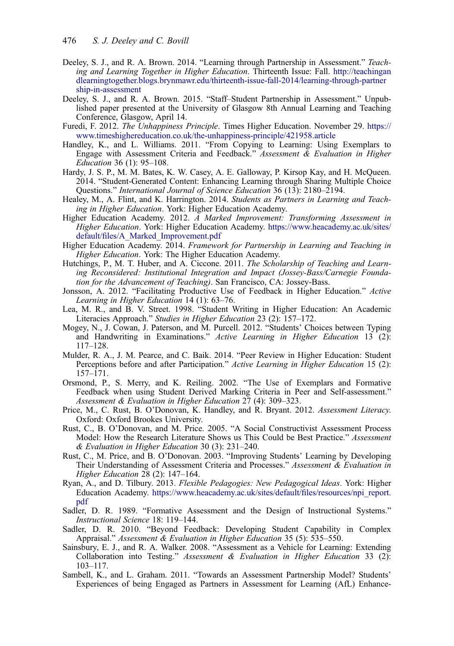- <span id="page-14-0"></span>Deeley, S. J., and R. A. Brown. 2014. "Learning through Partnership in Assessment." Teaching and Learning Together in Higher Education. Thirteenth Issue: Fall. [http://teachingan](http://teachingandlearningtogether.blogs.brynmawr.edu/thirteenth-issue-fall-2014/learning-through-partnership-in-assessment) [dlearningtogether.blogs.brynmawr.edu/thirteenth-issue-fall-2014/learning-through-partner](http://teachingandlearningtogether.blogs.brynmawr.edu/thirteenth-issue-fall-2014/learning-through-partnership-in-assessment) [ship-in-assessment](http://teachingandlearningtogether.blogs.brynmawr.edu/thirteenth-issue-fall-2014/learning-through-partnership-in-assessment)
- Deeley, S. J., and R. A. Brown. 2015. "Staff–Student Partnership in Assessment." Unpublished paper presented at the University of Glasgow 8th Annual Learning and Teaching Conference, Glasgow, April 14.
- Furedi, F. 2012. The Unhappiness Principle. Times Higher Education. November 29. [https://](https://www.timeshighereducation.co.uk/the-unhappiness-principle/421958.article) [www.timeshighereducation.co.uk/the-unhappiness-principle/421958.article](https://www.timeshighereducation.co.uk/the-unhappiness-principle/421958.article)
- Handley, K., and L. Williams. 2011. "From Copying to Learning: Using Exemplars to Engage with Assessment Criteria and Feedback." Assessment & Evaluation in Higher Education 36 (1): 95–108.
- Hardy, J. S. P., M. M. Bates, K. W. Casey, A. E. Galloway, P. Kirsop Kay, and H. McQueen. 2014. "Student-Generated Content: Enhancing Learning through Sharing Multiple Choice Questions." International Journal of Science Education 36 (13): 2180–2194.
- Healey, M., A. Flint, and K. Harrington. 2014. Students as Partners in Learning and Teaching in Higher Education. York: Higher Education Academy.
- Higher Education Academy. 2012. A Marked Improvement: Transforming Assessment in Higher Education. York: Higher Education Academy. [https://www.heacademy.ac.uk/sites/](https://www.heacademy.ac.uk/sites/default/files/A_Marked_Improvement.pdf) default/fi[les/A\\_Marked\\_Improvement.pdf](https://www.heacademy.ac.uk/sites/default/files/A_Marked_Improvement.pdf)
- Higher Education Academy. 2014. Framework for Partnership in Learning and Teaching in Higher Education. York: The Higher Education Academy.
- Hutchings, P., M. T. Huber, and A. Ciccone. 2011. The Scholarship of Teaching and Learning Reconsidered: Institutional Integration and Impact (Jossey-Bass/Carnegie Foundation for the Advancement of Teaching). San Francisco, CA: Jossey-Bass.
- Jonsson, A. 2012. "Facilitating Productive Use of Feedback in Higher Education." Active Learning in Higher Education 14 (1): 63–76.
- Lea, M. R., and B. V. Street. 1998. "Student Writing in Higher Education: An Academic Literacies Approach." Studies in Higher Education 23 (2): 157–172.
- Mogey, N., J. Cowan, J. Paterson, and M. Purcell. 2012. "Students' Choices between Typing and Handwriting in Examinations." Active Learning in Higher Education 13 (2): 117–128.
- Mulder, R. A., J. M. Pearce, and C. Baik. 2014. "Peer Review in Higher Education: Student Perceptions before and after Participation." Active Learning in Higher Education 15 (2):  $157 - \overline{171}$ .
- Orsmond, P., S. Merry, and K. Reiling. 2002. "The Use of Exemplars and Formative Feedback when using Student Derived Marking Criteria in Peer and Self-assessment." Assessment & Evaluation in Higher Education 27 (4): 309–323.
- Price, M., C. Rust, B. O'Donovan, K. Handley, and R. Bryant. 2012. Assessment Literacy. Oxford: Oxford Brookes University.
- Rust, C., B. O'Donovan, and M. Price. 2005. "A Social Constructivist Assessment Process Model: How the Research Literature Shows us This Could be Best Practice." Assessment & Evaluation in Higher Education 30 (3): 231–240.
- Rust, C., M. Price, and B. O'Donovan. 2003. "Improving Students' Learning by Developing Their Understanding of Assessment Criteria and Processes." Assessment & Evaluation in Higher Education 28 (2): 147–164.
- Ryan, A., and D. Tilbury. 2013. Flexible Pedagogies: New Pedagogical Ideas. York: Higher Education Academy. [https://www.heacademy.ac.uk/sites/default/](https://www.heacademy.ac.uk/sites/default/files/resources/npi_report.pdf)files/resources/npi\_report. [pdf](https://www.heacademy.ac.uk/sites/default/files/resources/npi_report.pdf)
- Sadler, D. R. 1989. "Formative Assessment and the Design of Instructional Systems." Instructional Science 18: 119–144.
- Sadler, D. R. 2010. "Beyond Feedback: Developing Student Capability in Complex Appraisal." Assessment & Evaluation in Higher Education 35 (5): 535–550.
- Sainsbury, E. J., and R. A. Walker. 2008. "Assessment as a Vehicle for Learning: Extending Collaboration into Testing." Assessment & Evaluation in Higher Education 33 (2): 103–117.
- Sambell, K., and L. Graham. 2011. "Towards an Assessment Partnership Model? Students' Experiences of being Engaged as Partners in Assessment for Learning (AfL) Enhance-